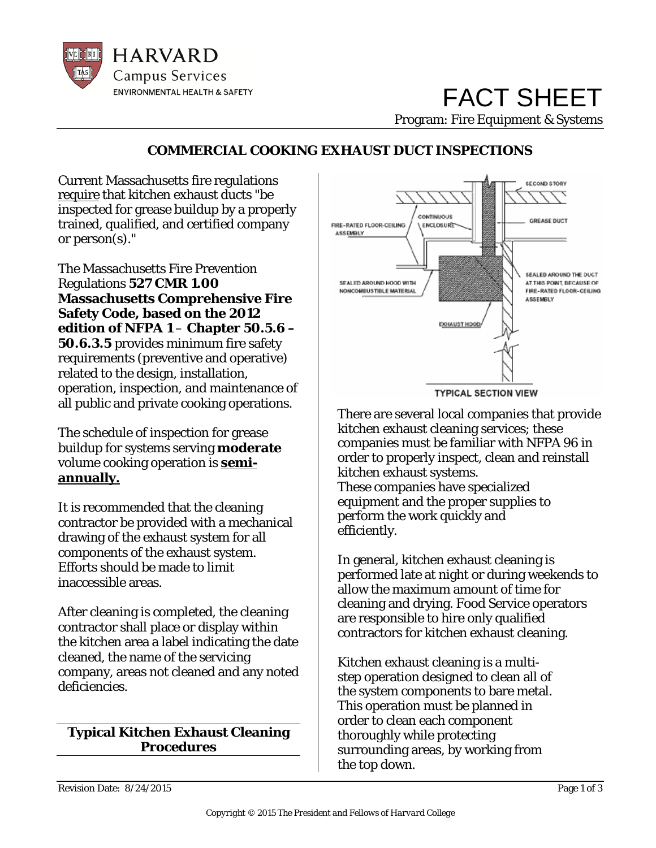

# FACT SHEET Program: Fire Equipment & Systems

# **COMMERCIAL COOKING EXHAUST DUCT INSPECTIONS**

Current Massachusetts fire regulations require that kitchen exhaust ducts "be inspected for grease buildup by a properly trained, qualified, and certified company or person(s)."

The Massachusetts Fire Prevention Regulations **527 CMR 1.00 Massachusetts Comprehensive Fire Safety Code, based on the 2012 edition of NFPA 1** – **Chapter 50.5.6 – 50.6.3.5** provides minimum fire safety requirements (preventive and operative) related to the design, installation, operation, inspection, and maintenance of all public and private cooking operations.

The schedule of inspection for grease buildup for systems serving **moderate** volume cooking operation is **semiannually.**

It is recommended that the cleaning contractor be provided with a mechanical drawing of the exhaust system for all components of the exhaust system. Efforts should be made to limit inaccessible areas.

After cleaning is completed, the cleaning contractor shall place or display within the kitchen area a label indicating the date cleaned, the name of the servicing company, areas not cleaned and any noted deficiencies.

## **Typical Kitchen Exhaust Cleaning Procedures**



There are several local companies that provide kitchen exhaust cleaning services; these companies must be familiar with NFPA 96 in order to properly inspect, clean and reinstall kitchen exhaust systems. These companies have specialized equipment and the proper supplies to perform the work quickly and efficiently.

In general, kitchen exhaust cleaning is performed late at night or during weekends to allow the maximum amount of time for cleaning and drying. Food Service operators are responsible to hire only qualified contractors for kitchen exhaust cleaning.

Kitchen exhaust cleaning is a multistep operation designed to clean all of the system components to bare metal. This operation must be planned in order to clean each component thoroughly while protecting surrounding areas, by working from the top down.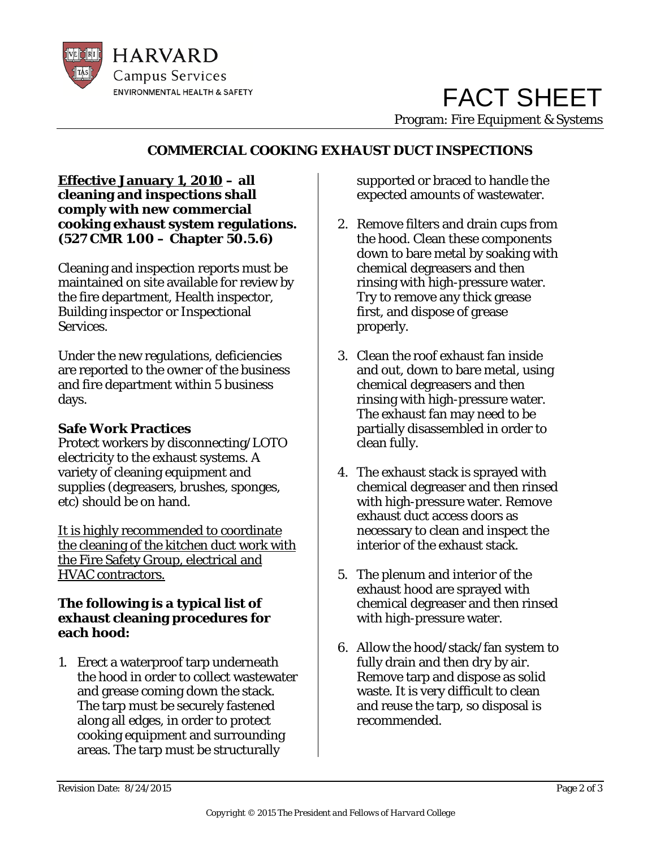

# **COMMERCIAL COOKING EXHAUST DUCT INSPECTIONS**

#### **Effective January 1, 2010 – all cleaning and inspections shall comply with new commercial cooking exhaust system regulations. (527 CMR 1.00 – Chapter 50.5.6)**

Cleaning and inspection reports must be maintained on site available for review by the fire department, Health inspector, Building inspector or Inspectional Services.

Under the new regulations, deficiencies are reported to the owner of the business and fire department within 5 business days.

# **Safe Work Practices**

Protect workers by disconnecting/LOTO electricity to the exhaust systems. A variety of cleaning equipment and supplies (degreasers, brushes, sponges, etc) should be on hand.

It is highly recommended to coordinate the cleaning of the kitchen duct work with the Fire Safety Group, electrical and HVAC contractors.

## **The following is a typical list of exhaust cleaning procedures for each hood:**

1. Erect a waterproof tarp underneath the hood in order to collect wastewater and grease coming down the stack. The tarp must be securely fastened along all edges, in order to protect cooking equipment and surrounding areas. The tarp must be structurally

supported or braced to handle the expected amounts of wastewater.

- 2. Remove filters and drain cups from the hood. Clean these components down to bare metal by soaking with chemical degreasers and then rinsing with high-pressure water. Try to remove any thick grease first, and dispose of grease properly.
- 3. Clean the roof exhaust fan inside and out, down to bare metal, using chemical degreasers and then rinsing with high-pressure water. The exhaust fan may need to be partially disassembled in order to clean fully.
- 4. The exhaust stack is sprayed with chemical degreaser and then rinsed with high-pressure water. Remove exhaust duct access doors as necessary to clean and inspect the interior of the exhaust stack.
- 5. The plenum and interior of the exhaust hood are sprayed with chemical degreaser and then rinsed with high-pressure water.
- 6. Allow the hood/stack/fan system to fully drain and then dry by air. Remove tarp and dispose as solid waste. It is very difficult to clean and reuse the tarp, so disposal is recommended.